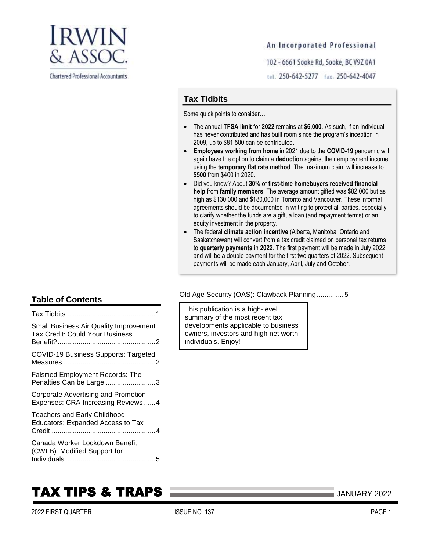

**Chartered Professional Accountants** 

### An Incorporated Professional

102 - 6661 Sooke Rd, Sooke, BC V9Z 0A1

tel. 250-642-5277 fax. 250-642-4047

### **Tax Tidbits**

Some quick points to consider…

- The annual **TFSA limit** for **2022** remains at **\$6,000**. As such, if an individual has never contributed and has built room since the program's inception in 2009, up to \$81,500 can be contributed.
- **Employees working from home** in 2021 due to the **COVID-19** pandemic will again have the option to claim a **deduction** against their employment income using the **temporary flat rate method**. The maximum claim will increase to **\$500** from \$400 in 2020.
- Did you know? About **30%** of **first-time homebuyers received financial help** from **family members**. The average amount gifted was \$82,000 but as high as \$130,000 and \$180,000 in Toronto and Vancouver. These informal agreements should be documented in writing to protect all parties, especially to clarify whether the funds are a gift, a loan (and repayment terms) or an equity investment in the property.
- The federal **climate action incentive** (Alberta, Manitoba, Ontario and Saskatchewan) will convert from a tax credit claimed on personal tax returns to **quarterly payments** in **2022**. The first payment will be made in July 2022 and will be a double payment for the first two quarters of 2022. Subsequent payments will be made each January, April, July and October.

[Old Age Security \(OAS\): Clawback Planning..............5](#page-4-1)

This publication is a high-level summary of the most recent tax developments applicable to business owners, investors and high net worth individuals. Enjoy!

# **Table of Contents**

| <b>Small Business Air Quality Improvement</b><br><b>Tax Credit: Could Your Business</b> |  |
|-----------------------------------------------------------------------------------------|--|
| COVID-19 Business Supports: Targeted                                                    |  |
| <b>Falsified Employment Records: The</b><br>Penalties Can be Large 3                    |  |
| Corporate Advertising and Promotion<br>Expenses: CRA Increasing Reviews 4               |  |
| <b>Teachers and Early Childhood</b><br><b>Educators: Expanded Access to Tax</b>         |  |
| Canada Worker Lockdown Benefit<br>(CWLB): Modified Support for                          |  |

# **TAX TIPS & TRAPS 2022** JANUARY 2022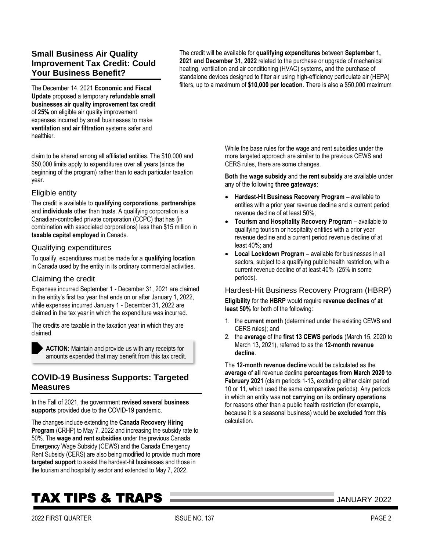# <span id="page-1-0"></span>**Small Business Air Quality Improvement Tax Credit: Could Your Business Benefit?**

The December 14, 2021 **Economic and Fiscal Update** proposed a temporary **refundable small businesses air quality improvement tax credit** of **25%** on eligible air quality improvement expenses incurred by small businesses to make **ventilation** and **air filtration** systems safer and healthier.

claim to be shared among all affiliated entities. The \$10,000 and \$50,000 limits apply to expenditures over all years (since the beginning of the program) rather than to each particular taxation year.

### Eligible entity

The credit is available to **qualifying corporations**, **partnerships** and **individuals** other than trusts. A qualifying corporation is a Canadian-controlled private corporation (CCPC) that has (in combination with associated corporations) less than \$15 million in **taxable capital employed** in Canada.

### Qualifying expenditures

To qualify, expenditures must be made for a **qualifying location** in Canada used by the entity in its ordinary commercial activities.

### Claiming the credit

Expenses incurred September 1 - December 31, 2021 are claimed in the entity's first tax year that ends on or after January 1, 2022, while expenses incurred January 1 - December 31, 2022 are claimed in the tax year in which the expenditure was incurred.

The credits are taxable in the taxation year in which they are claimed.

**ACTION:** Maintain and provide us with any receipts for amounts expended that may benefit from this tax credit.

### <span id="page-1-1"></span>**COVID-19 Business Supports: Targeted Measures**

In the Fall of 2021, the government **revised several business supports** provided due to the COVID-19 pandemic.

The changes include extending the **Canada Recovery Hiring Program** (CRHP) to May 7, 2022 and increasing the subsidy rate to 50%. The **wage and rent subsidies** under the previous Canada Emergency Wage Subsidy (CEWS) and the Canada Emergency Rent Subsidy (CERS) are also being modified to provide much **more targeted support** to assist the hardest-hit businesses and those in the tourism and hospitality sector and extended to May 7, 2022.

The credit will be available for **qualifying expenditures** between **September 1, 2021 and December 31, 2022** related to the purchase or upgrade of mechanical heating, ventilation and air conditioning (HVAC) systems, and the purchase of standalone devices designed to filter air using high-efficiency particulate air (HEPA) filters, up to a maximum of **\$10,000 per location**. There is also a \$50,000 maximum

> While the base rules for the wage and rent subsidies under the more targeted approach are similar to the previous CEWS and CERS rules, there are some changes.

**Both** the **wage subsidy** and the **rent subsidy** are available under any of the following **three gateways**:

- **Hardest-Hit Business Recovery Program** available to entities with a prior year revenue decline and a current period revenue decline of at least 50%;
- **Tourism and Hospitality Recovery Program** available to qualifying tourism or hospitality entities with a prior year revenue decline and a current period revenue decline of at least 40%; and
- **Local Lockdown Program** available for businesses in all sectors, subject to a qualifying public health restriction, with a current revenue decline of at least 40% (25% in some periods).

Hardest-Hit Business Recovery Program (HBRP) **Eligibility** for the **HBRP** would require **revenue declines** of **at least 50%** for both of the following:

- 1. the **current month** (determined under the existing CEWS and CERS rules); and
- 2. the **average** of the **first 13 CEWS periods** (March 15, 2020 to March 13, 2021), referred to as the **12-month revenue decline**.

The **12-month revenue decline** would be calculated as the **average** of **all** revenue decline **percentages from March 2020 to**  February 2021 (claim periods 1-13, excluding either claim period 10 or 11, which used the same comparative periods). Any periods in which an entity was **not carrying on** its **ordinary operations** for reasons other than a public health restriction (for example, because it is a seasonal business) would be **excluded** from this calculation.

# TAX TIPS & TRAPS JANUARY <sup>2022</sup>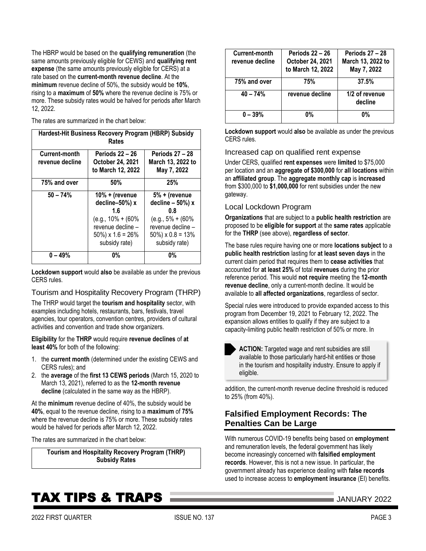The HBRP would be based on the **qualifying remuneration** (the same amounts previously eligible for CEWS) and **qualifying rent expense** (the same amounts previously eligible for CERS) at a rate based on the **current-month revenue decline**. At the **minimum** revenue decline of 50%, the subsidy would be **10%**, rising to a **maximum** of **50%** where the revenue decline is 75% or more. These subsidy rates would be halved for periods after March 12, 2022.

The rates are summarized in the chart below:

| Hardest-Hit Business Recovery Program (HBRP) Subsidy<br>Rates |                                                                                                                                   |                                                                                                                                   |  |
|---------------------------------------------------------------|-----------------------------------------------------------------------------------------------------------------------------------|-----------------------------------------------------------------------------------------------------------------------------------|--|
| Current-month<br>revenue decline                              | <b>Periods 22 - 26</b><br>October 24, 2021<br>to March 12, 2022                                                                   | <b>Periods 27 - 28</b><br>March 13, 2022 to<br>May 7, 2022                                                                        |  |
| 75% and over                                                  | 50%                                                                                                                               | 25%                                                                                                                               |  |
| $50 - 74%$                                                    | $10% +$ (revenue<br>decline-50%) x<br>1.6<br>$(e.g., 10\% + (60\%)$<br>revenue decline -<br>$50\%$ ) x 1.6 = 26%<br>subsidy rate) | 5% + (revenue<br>decline $-50%$ ) x<br>0.8<br>$(e.g., 5\% + (60\%)$<br>revenue decline -<br>$50\%$ ) x 0.8 = 13%<br>subsidy rate) |  |
| $0 - 49%$                                                     | 0%                                                                                                                                | <b>0%</b>                                                                                                                         |  |

**Lockdown support** would **also** be available as under the previous CERS rules.

### Tourism and Hospitality Recovery Program (THRP)

The THRP would target the **tourism and hospitality** sector, with examples including hotels, restaurants, bars, festivals, travel agencies, tour operators, convention centres, providers of cultural activities and convention and trade show organizers.

**Eligibility** for the **THRP** would require **revenue declines** of **at least 40%** for both of the following:

- 1. the **current month** (determined under the existing CEWS and CERS rules); and
- 2. the **average** of the **first 13 CEWS periods** (March 15, 2020 to March 13, 2021), referred to as the **12-month revenue decline** (calculated in the same way as the HBRP).

At the **minimum** revenue decline of 40%, the subsidy would be **40%**, equal to the revenue decline, rising to a **maximum** of **75%** where the revenue decline is 75% or more. These subsidy rates would be halved for periods after March 12, 2022.

The rates are summarized in the chart below:

**Tourism and Hospitality Recovery Program (THRP) Subsidy Rates**

| Current-month<br>revenue decline | <b>Periods 22 - 26</b><br>October 24, 2021<br>to March 12, 2022 | <b>Periods 27 - 28</b><br>March 13, 2022 to<br>May 7, 2022 |
|----------------------------------|-----------------------------------------------------------------|------------------------------------------------------------|
| 75% and over                     | 75%                                                             | 37.5%                                                      |
| $40 - 74%$                       | revenue decline                                                 | 1/2 of revenue<br>decline                                  |
| $0 - 39%$                        | 0%                                                              | 0%                                                         |

**Lockdown support** would **also** be available as under the previous CERS rules.

### Increased cap on qualified rent expense

Under CERS, qualified **rent expenses** were **limited** to \$75,000 per location and an **aggregate of \$300,000** for **all locations** within an **affiliated group**. The **aggregate monthly cap** is **increased** from \$300,000 to **\$1,000,000** for rent subsidies under the new gateway.

### Local Lockdown Program

**Organizations** that are subject to a **public health restriction** are proposed to be **eligible for support** at the **same rates** applicable for the **THRP** (see above), **regardless of sector**.

The base rules require having one or more **locations subject** to a **public health restriction** lasting for **at least seven days** in the current claim period that requires them to **cease activities** that accounted for **at least 25%** of total **revenues** during the prior reference period. This would **not require** meeting the **12-month revenue decline**, only a current-month decline. It would be available to **all affected organizations**, regardless of sector.

Special rules were introduced to provide expanded access to this program from December 19, 2021 to February 12, 2022. The expansion allows entities to qualify if they are subject to a capacity-limiting public health restriction of 50% or more. In

**ACTION:** Targeted wage and rent subsidies are still available to those particularly hard-hit entities or those in the tourism and hospitality industry. Ensure to apply if eligible.

addition, the current-month revenue decline threshold is reduced to 25% (from 40%).

# <span id="page-2-0"></span>**Falsified Employment Records: The Penalties Can be Large**

With numerous COVID-19 benefits being based on **employment** and remuneration levels, the federal government has likely become increasingly concerned with **falsified employment records**. However, this is not a new issue. In particular, the government already has experience dealing with **false records** used to increase access to **employment insurance** (EI) benefits.

# TAX TIPS & TRAPS JANUARY <sup>2022</sup>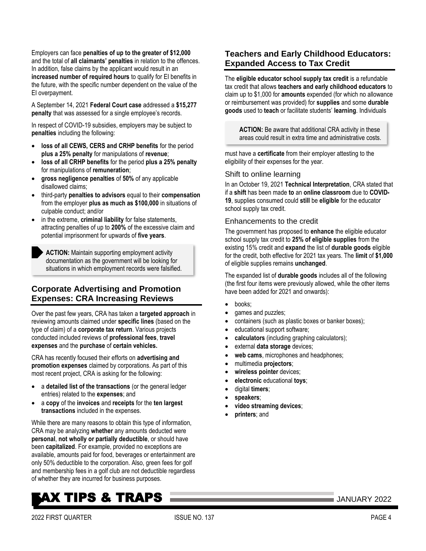Employers can face **penalties of up to the greater of \$12,000** and the total of **all claimants' penalties** in relation to the offences. In addition, false claims by the applicant would result in an **increased number of required hours** to qualify for EI benefits in the future, with the specific number dependent on the value of the EI overpayment.

A September 14, 2021 **Federal Court case** addressed a **\$15,277 penalty** that was assessed for a single employee's records.

In respect of COVID-19 subsidies, employers may be subject to **penalties** including the following:

- **loss of all CEWS, CERS and CRHP benefits** for the period **plus a 25% penalty** for manipulations of **revenue**;
- **loss of all CRHP benefits** for the period **plus a 25% penalty** for manipulations of **remuneration**;
- **gross negligence penalties** of **50%** of any applicable disallowed claims;
- third-party **penalties to advisors** equal to their **compensation** from the employer **plus as much as \$100,000** in situations of culpable conduct; and/or
- in the extreme, **criminal liability** for false statements, attracting penalties of up to **200%** of the excessive claim and potential imprisonment for upwards of **five years**.

**ACTION:** Maintain supporting employment activity documentation as the government will be looking for situations in which employment records were falsified.

# <span id="page-3-0"></span>**Corporate Advertising and Promotion Expenses: CRA Increasing Reviews**

Over the past few years, CRA has taken a **targeted approach** in reviewing amounts claimed under **specific lines** (based on the type of claim) of a **corporate tax return**. Various projects conducted included reviews of **professional fees**, **travel expenses** and the **purchase** of **certain vehicles.**

CRA has recently focused their efforts on **advertising and promotion expenses** claimed by corporations. As part of this most recent project, CRA is asking for the following:

- a **detailed list of the transactions** (or the general ledger entries) related to the **expenses**; and
- a **copy** of the **invoices** and **receipts** for the **ten largest transactions** included in the expenses.

While there are many reasons to obtain this type of information, CRA may be analyzing **whether** any amounts deducted were **personal**, **not wholly or partially deductible**, or should have been **capitalized**. For example, provided no exceptions are available, amounts paid for food, beverages or entertainment are only 50% deductible to the corporation. Also, green fees for golf and membership fees in a golf club are not deductible regardless of whether they are incurred for business purposes.

# <span id="page-3-1"></span>**Teachers and Early Childhood Educators: Expanded Access to Tax Credit**

The **eligible educator school supply tax credit** is a refundable tax credit that allows **teachers and early childhood educators** to claim up to \$1,000 for **amounts** expended (for which no allowance or reimbursement was provided) for **supplies** and some **durable goods** used to **teach** or facilitate students' **learning**. Individuals

**ACTION:** Be aware that additional CRA activity in these areas could result in extra time and administrative costs.

must have a **certificate** from their employer attesting to the eligibility of their expenses for the year.

### Shift to online learning

In an October 19, 2021 **Technical Interpretation**, CRA stated that if a **shift** has been made **to** an **online classroom** due to **COVID-19**, supplies consumed could **still** be **eligible** for the educator school supply tax credit.

### Enhancements to the credit

The government has proposed to **enhance** the eligible educator school supply tax credit to **25% of eligible supplies** from the existing 15% credit and **expand** the list of **durable goods** eligible for the credit, both effective for 2021 tax years. The **limit** of **\$1,000** of eligible supplies remains **unchanged**.

The expanded list of **durable goods** includes all of the following (the first four items were previously allowed, while the other items have been added for 2021 and onwards):

- books;
- games and puzzles;
- containers (such as plastic boxes or banker boxes);
- educational support software;
- **calculators** (including graphing calculators);
- external **data storage** devices;
- **web cams**, microphones and headphones;
- multimedia **projectors**;
- **wireless pointer** devices;
- **electronic** educational **toys**;
- digital **timers**;
- **speakers**;
- **video streaming devices**;
- **printers**; and

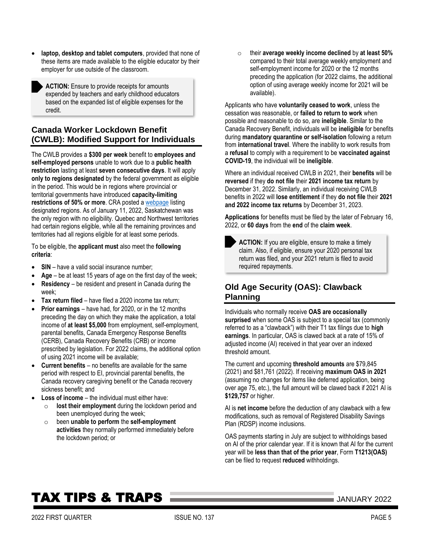**laptop, desktop and tablet computers**, provided that none of these items are made available to the eligible educator by their employer for use outside of the classroom.

**ACTION:** Ensure to provide receipts for amounts expended by teachers and early childhood educators based on the expanded list of eligible expenses for the credit.

# <span id="page-4-0"></span>**Canada Worker Lockdown Benefit (CWLB): Modified Support for Individuals**

The CWLB provides a **\$300 per week** benefit to **employees and self-employed persons** unable to work due to a **public health restriction** lasting at least **seven consecutive days**. It will apply **only to regions designated** by the federal government as eligible in the period. This would be in regions where provincial or territorial governments have introduced **capacity-limiting restrictions of 50% or more**. CRA posted [a webpage](https://www.canada.ca/en/revenue-agency/services/benefits/worker-lockdown-benefit/cwlb-regional-lockdowns.html) listing designated regions. As of January 11, 2022, Saskatchewan was the only region with no eligibility. Quebec and Northwest territories had certain regions eligible, while all the remaining provinces and territories had all regions eligible for at least some periods.

To be eligible, the **applicant must** also meet the **following criteria**:

- **SIN** have a valid social insurance number;
- **Age** be at least 15 years of age on the first day of the week;
- **Residency** be resident and present in Canada during the week;
- **Tax return filed** have filed a 2020 income tax return;
- **Prior earnings** have had, for 2020, or in the 12 months preceding the day on which they make the application, a total income of **at least \$5,000** from employment, self-employment, parental benefits, Canada Emergency Response Benefits (CERB), Canada Recovery Benefits (CRB) or income prescribed by legislation. For 2022 claims, the additional option of using 2021 income will be available;
- **Current benefits** no benefits are available for the same period with respect to EI, provincial parental benefits, the Canada recovery caregiving benefit or the Canada recovery sickness benefit; and
- **Loss of income** the individual must either have:
	- o **lost their employment** during the lockdown period and been unemployed during the week;
	- o been **unable to perform** the **self-employment activities** they normally performed immediately before the lockdown period; or

o their **average weekly income declined** by **at least 50%** compared to their total average weekly employment and self-employment income for 2020 or the 12 months preceding the application (for 2022 claims, the additional option of using average weekly income for 2021 will be available).

Applicants who have **voluntarily ceased to work**, unless the cessation was reasonable, or **failed to return to work** when possible and reasonable to do so, are **ineligible**. Similar to the Canada Recovery Benefit, individuals will be **ineligible** for benefits during **mandatory quarantine or self-isolation** following a return from **international travel**. Where the inability to work results from a **refusal** to comply with a requirement to be **vaccinated against COVID-19**, the individual will be **ineligible**.

Where an individual received CWLB in 2021, their **benefits** will be **reversed** if they **do not file** their **2021 income tax return** by December 31, 2022. Similarly, an individual receiving CWLB benefits in 2022 will **lose entitlement** if they **do not file** their **2021 and 2022 income tax returns** by December 31, 2023.

**Applications** for benefits must be filed by the later of February 16, 2022, or **60 days** from the **end** of the **claim week**.

**ACTION:** If you are eligible, ensure to make a timely claim. Also, if eligible, ensure your 2020 personal tax return was filed, and your 2021 return is filed to avoid required repayments.

# <span id="page-4-1"></span>**Old Age Security (OAS): Clawback Planning**

Individuals who normally receive **OAS are occasionally surprised** when some OAS is subject to a special tax (commonly referred to as a "clawback") with their T1 tax filings due to **high earnings**. In particular, OAS is clawed back at a rate of 15% of adjusted income (AI) received in that year over an indexed threshold amount.

The current and upcoming **threshold amounts** are \$79,845 (2021) and \$81,761 (2022). If receiving **maximum OAS in 2021**  (assuming no changes for items like deferred application, being over age 75, etc.), the full amount will be clawed back if 2021 AI is **\$129,757** or higher.

AI is **net income** before the deduction of any clawback with a few modifications, such as removal of Registered Disability Savings Plan (RDSP) income inclusions.

OAS payments starting in July are subject to withholdings based on AI of the prior calendar year. If it is known that AI for the current year will be **less than that of the prior year**, Form **T1213(OAS)** can be filed to request **reduced** withholdings.

# **TAX TIPS & TRAPS MEDICINE AND AN USE OF STANDARY 2022**